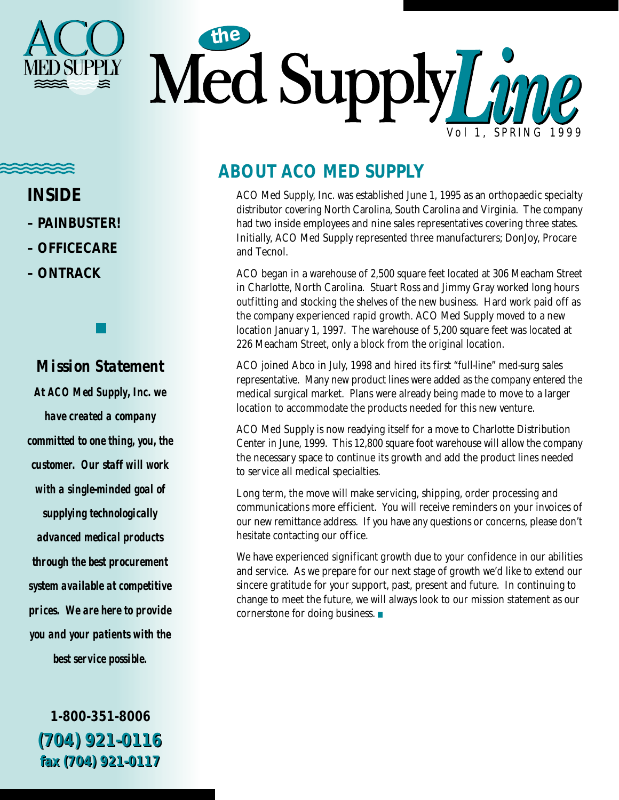

**ABOUT ACO MED SUPPLY**

ACO Med Supply, Inc. was established June 1, 1995 as an orthopaedic specialty distributor covering North Carolina, South Carolina and Virginia. The company had two inside employees and nine sales representatives covering three states. Initially, ACO Med Supply represented three manufacturers; DonJoy, Procare and Tecnol.

ACO began in a warehouse of 2,500 square feet located at 306 Meacham Street in Charlotte, North Carolina. Stuart Ross and Jimmy Gray worked long hours outfitting and stocking the shelves of the new business. Hard work paid off as the company experienced rapid growth. ACO Med Supply moved to a new location January 1, 1997. The warehouse of 5,200 square feet was located at 226 Meacham Street, only a block from the original location.

ACO joined Abco in July, 1998 and hired its first "full-line" med-surg sales representative. Many new product lines were added as the company entered the medical surgical market. Plans were already being made to move to a larger location to accommodate the products needed for this new venture.

ACO Med Supply is now readying itself for a move to Charlotte Distribution Center in June, 1999. This 12,800 square foot warehouse will allow the company the necessary space to continue its growth and add the product lines needed to service all medical specialties.

Long term, the move will make servicing, shipping, order processing and communications more efficient. You will receive reminders on your invoices of our new remittance address. If you have any questions or concerns, please don't hesitate contacting our office.

We have experienced significant growth due to your confidence in our abilities and service. As we prepare for our next stage of growth we'd like to extend our sincere gratitude for your support, past, present and future. In continuing to change to meet the future, we will always look to our mission statement as our cornerstone for doing business.

**INSIDE – PAINBUSTER! – OFFICECARE – ONTRACK**

#### *Mission Statement*

*At ACO Med Supply, Inc. we have created a company committed to one thing, you, the customer. Our staff will work with a single-minded goal of supplying technologically advanced medical products through the best procurement system available at competitive prices. We are here to provide you and your patients with the best service possible.*

**(704) 921-0116 (704) 921-0116 fax (704) 921-0117 fax (704) 921-0117 1-800-351-8006**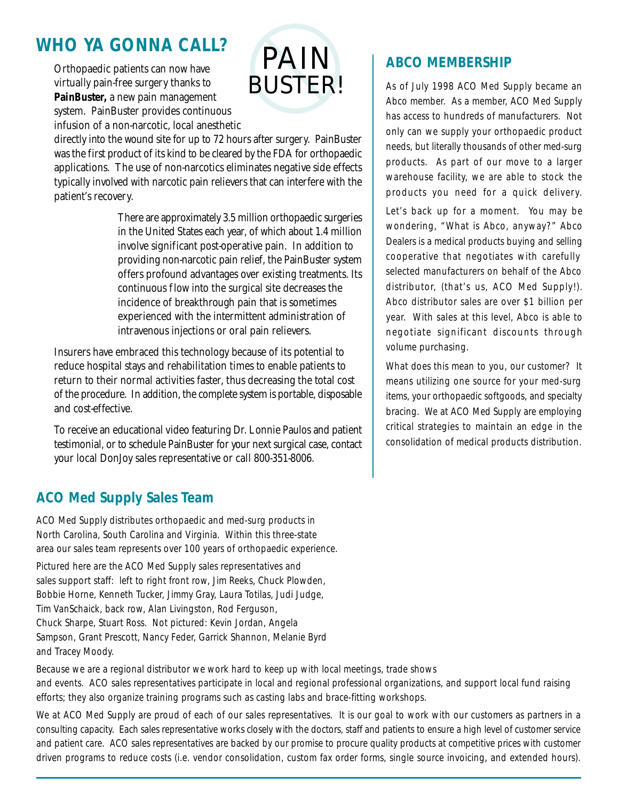## **WHO YA GONNA CALL?**

Orthopaedic patients can now have virtually pain-free surgery thanks to **PainBuster,** a new pain management system. PainBuster provides continuous infusion of a non-narcotic, local anesthetic



directly into the wound site for up to 72 hours after surgery. PainBuster was the first product of its kind to be cleared by the FDA for orthopaedic applications. The use of non-narcotics eliminates negative side effects typically involved with narcotic pain relievers that can interfere with the patient's recovery.

> There are approximately 3.5 million orthopaedic surgeries in the United States each year, of which about 1.4 million involve significant post-operative pain. In addition to providing non-narcotic pain relief, the PainBuster system offers profound advantages over existing treatments. Its continuous flow into the surgical site decreases the incidence of breakthrough pain that is sometimes experienced with the intermittent administration of intravenous injections or oral pain relievers.

Insurers have embraced this technology because of its potential to reduce hospital stays and rehabilitation times to enable patients to return to their normal activities faster, thus decreasing the total cost of the procedure. In addition, the complete system is portable, disposable and cost-effective.

To receive an educational video featuring Dr. Lonnie Paulos and patient testimonial, or to schedule PainBuster for your next surgical case, contact your local DonJoy sales representative or call 800-351-8006.

#### **ACO Med Supply Sales Team**

ACO Med Supply distributes orthopaedic and med-surg products in North Carolina, South Carolina and Virginia. Within this three-state area our sales team represents over 100 years of orthopaedic experience.

Pictured here are the ACO Med Supply sales representatives and sales support staff: left to right front row, Jim Reeks, Chuck Plowden, Bobbie Horne, Kenneth Tucker, Jimmy Gray, Laura Totilas, Judi Judge, Tim VanSchaick, back row, Alan Livingston, Rod Ferguson, Chuck Sharpe, Stuart Ross. Not pictured: Kevin Jordan, Angela Sampson, Grant Prescott, Nancy Feder, Garrick Shannon, Melanie Byrd and Tracey Moody.

#### **ABCO MEMBERSHIP**

As of July 1998 ACO Med Supply became an Abco member. As a member, ACO Med Supply has access to hundreds of manufacturers. Not only can we supply your orthopaedic product needs, but literally thousands of other med-surg products. As part of our move to a larger warehouse facility, we are able to stock the products you need for a quick delivery.

Let's back up for a moment. You may be wondering, "What is Abco, anyway?" Abco Dealers is a medical products buying and selling cooperative that negotiates with carefully selected manufacturers on behalf of the Abco distributor, (that's us, ACO Med Supply!). Abco distributor sales are over \$1 billion per year. With sales at this level, Abco is able to negotiate significant discounts through volume purchasing.

What does this mean to you, our customer? It means utilizing one source for your med-surg items, your orthopaedic softgoods, and specialty bracing. We at ACO Med Supply are employing critical strategies to maintain an edge in the consolidation of medical products distribution.

Because we are a regional distributor we work hard to keep up with local meetings, trade shows and events. ACO sales representatives participate in local and regional professional organizations, and support local fund raising efforts; they also organize training programs such as casting labs and brace-fitting workshops.

We at ACO Med Supply are proud of each of our sales representatives. It is our goal to work with our customers as partners in a consulting capacity. Each sales representative works closely with the doctors, staff and patients to ensure a high level of customer service and patient care. ACO sales representatives are backed by our promise to procure quality products at competitive prices with customer driven programs to reduce costs (i.e. vendor consolidation, custom fax order forms, single source invoicing, and extended hours).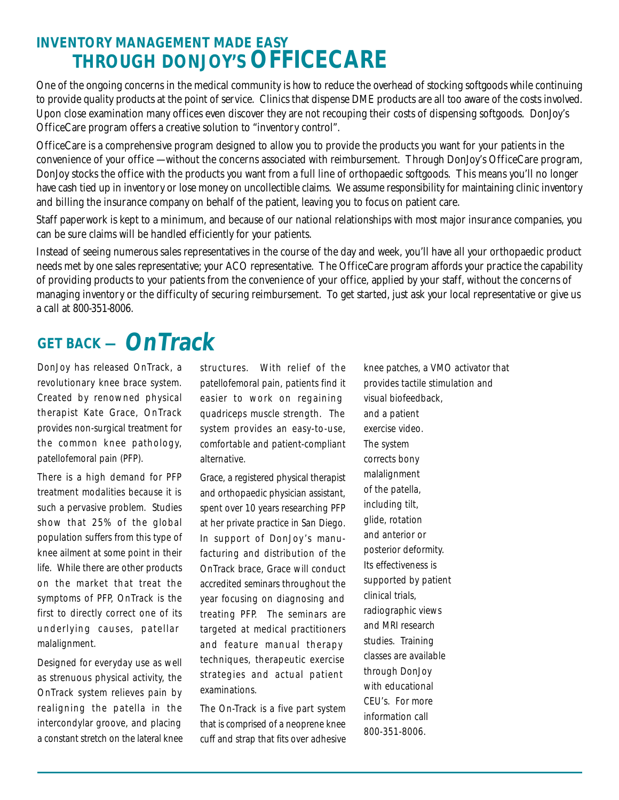### **INVENTORY MANAGEMENT MADE EASY THROUGH DONJOY'S OFFICECARE**

One of the ongoing concerns in the medical community is how to reduce the overhead of stocking softgoods while continuing to provide quality products at the point of service. Clinics that dispense DME products are all too aware of the costs involved. Upon close examination many offices even discover they are not recouping their costs of dispensing softgoods. DonJoy's OfficeCare program offers a creative solution to "inventory control".

OfficeCare is a comprehensive program designed to allow you to provide the products you want for your patients in the convenience of your office — without the concerns associated with reimbursement. Through DonJoy's OfficeCare program, DonJoy stocks the office with the products you want from a full line of orthopaedic softgoods. This means you'll no longer have cash tied up in inventory or lose money on uncollectible claims. We assume responsibility for maintaining clinic inventory and billing the insurance company on behalf of the patient, leaving you to focus on patient care.

Staff paperwork is kept to a minimum, and because of our national relationships with most major insurance companies, you can be sure claims will be handled efficiently for your patients.

Instead of seeing numerous sales representatives in the course of the day and week, you'll have all your orthopaedic product needs met by one sales representative; your ACO representative. The OfficeCare program affords your practice the capability of providing products to your patients from the convenience of your office, applied by your staff, without the concerns of managing inventory or the difficulty of securing reimbursement. To get started, just ask your local representative or give us a call at 800-351-8006.

# **GET BACK — OnTrack**

DonJoy has released OnTrack, a revolutionary knee brace system. Created by renowned physical therapist Kate Grace, OnTrack provides non-surgical treatment for the common knee pathology, patellofemoral pain (PFP).

There is a high demand for PFP treatment modalities because it is such a pervasive problem. Studies show that 25% of the global population suffers from this type of knee ailment at some point in their life. While there are other products on the market that treat the symptoms of PFP, OnTrack is the first to directly correct one of its underlying causes, patellar malalignment.

Designed for everyday use as well as strenuous physical activity, the OnTrack system relieves pain by realigning the patella in the intercondylar groove, and placing a constant stretch on the lateral knee

structures. With relief of the patellofemoral pain, patients find it easier to work on regaining quadriceps muscle strength. The system provides an easy-to-use, comfortable and patient-compliant alternative.

Grace, a registered physical therapist and orthopaedic physician assistant, spent over 10 years researching PFP at her private practice in San Diego. In support of DonJoy's manufacturing and distribution of the OnTrack brace, Grace will conduct accredited seminars throughout the year focusing on diagnosing and treating PFP. The seminars are targeted at medical practitioners and feature manual therapy techniques, therapeutic exercise strategies and actual patient examinations.

The On-Track is a five part system that is comprised of a neoprene knee cuff and strap that fits over adhesive

knee patches, a VMO activator that provides tactile stimulation and visual biofeedback, and a patient exercise video. The system corrects bony malalignment of the patella, including tilt, glide, rotation and anterior or posterior deformity. Its effectiveness is supported by patient clinical trials, radiographic views and MRI research studies. Training classes are available through DonJoy with educational CEU's. For more information call 800-351-8006.